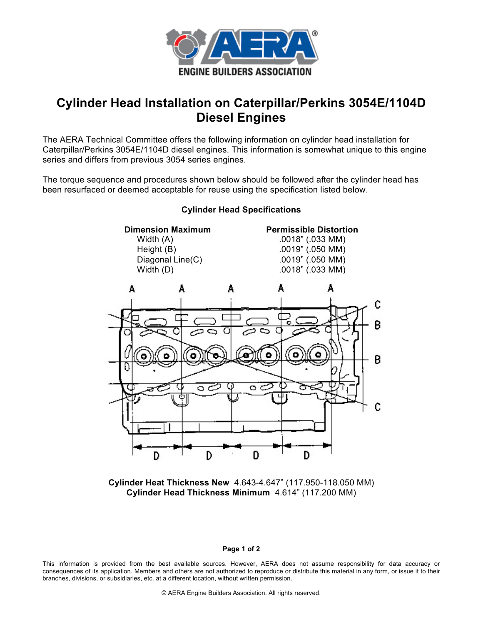

# **Cylinder Head Installation on Caterpillar/Perkins 3054E/1104D Diesel Engines**

The AERA Technical Committee offers the following information on cylinder head installation for Caterpillar/Perkins 3054E/1104D diesel engines. This information is somewhat unique to this engine series and differs from previous 3054 series engines.

The torque sequence and procedures shown below should be followed after the cylinder head has been resurfaced or deemed acceptable for reuse using the specification listed below.



## **Cylinder Head Specifications**

**Cylinder Heat Thickness New** 4.643-4.647" (117.950-118.050 MM) **Cylinder Head Thickness Minimum** 4.614" (117.200 MM)

#### **Page 1 of 2**

This information is provided from the best available sources. However, AERA does not assume responsibility for data accuracy or consequences of its application. Members and others are not authorized to reproduce or distribute this material in any form, or issue it to their branches, divisions, or subsidiaries, etc. at a different location, without written permission.